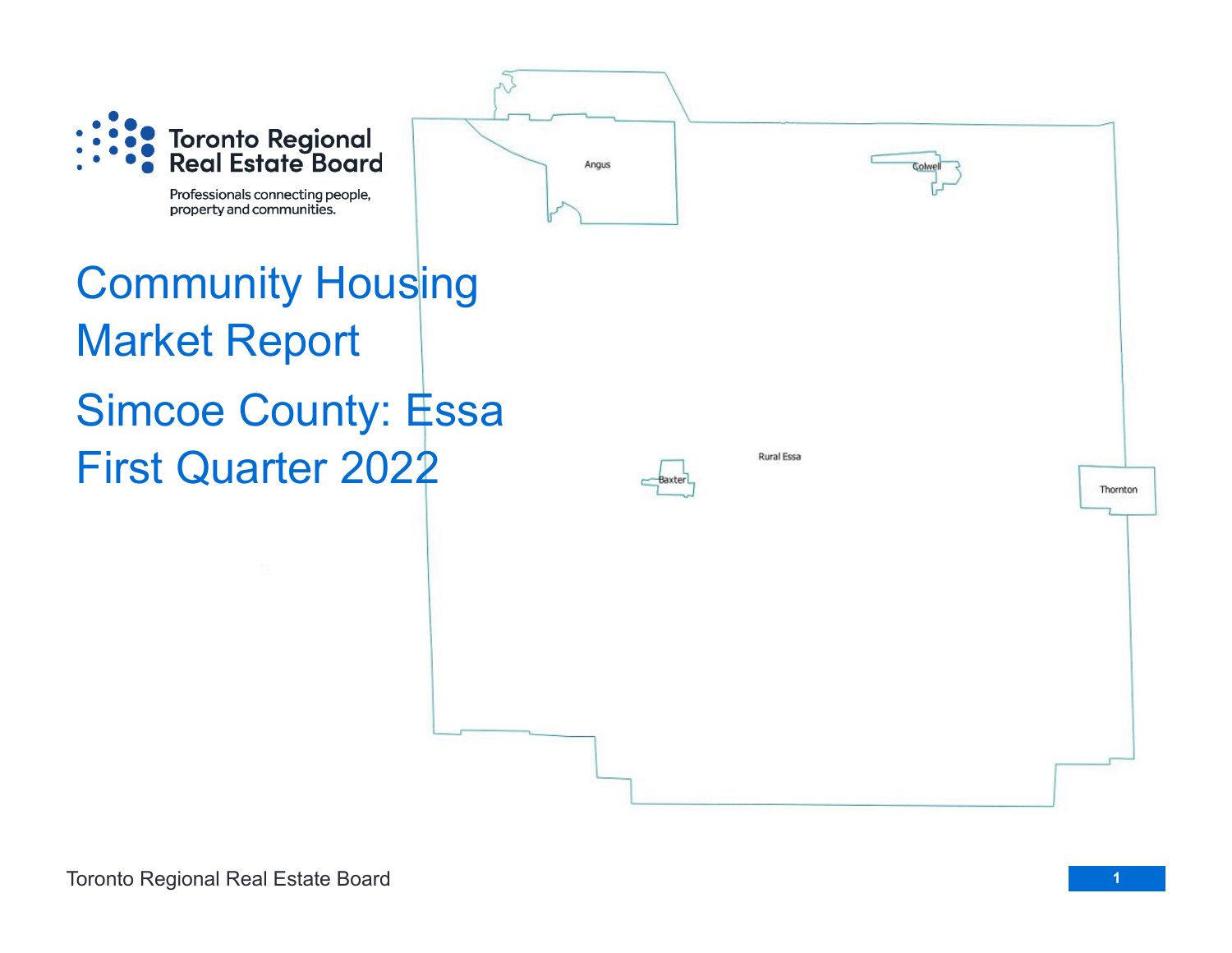

Professionals connecting people, property and communities.

## Community Housing Market Report Simcoe County: Essa First Quarter 2022



Angus

**Rural Essa** 

Toronto Regional Real Estate Board

Thornton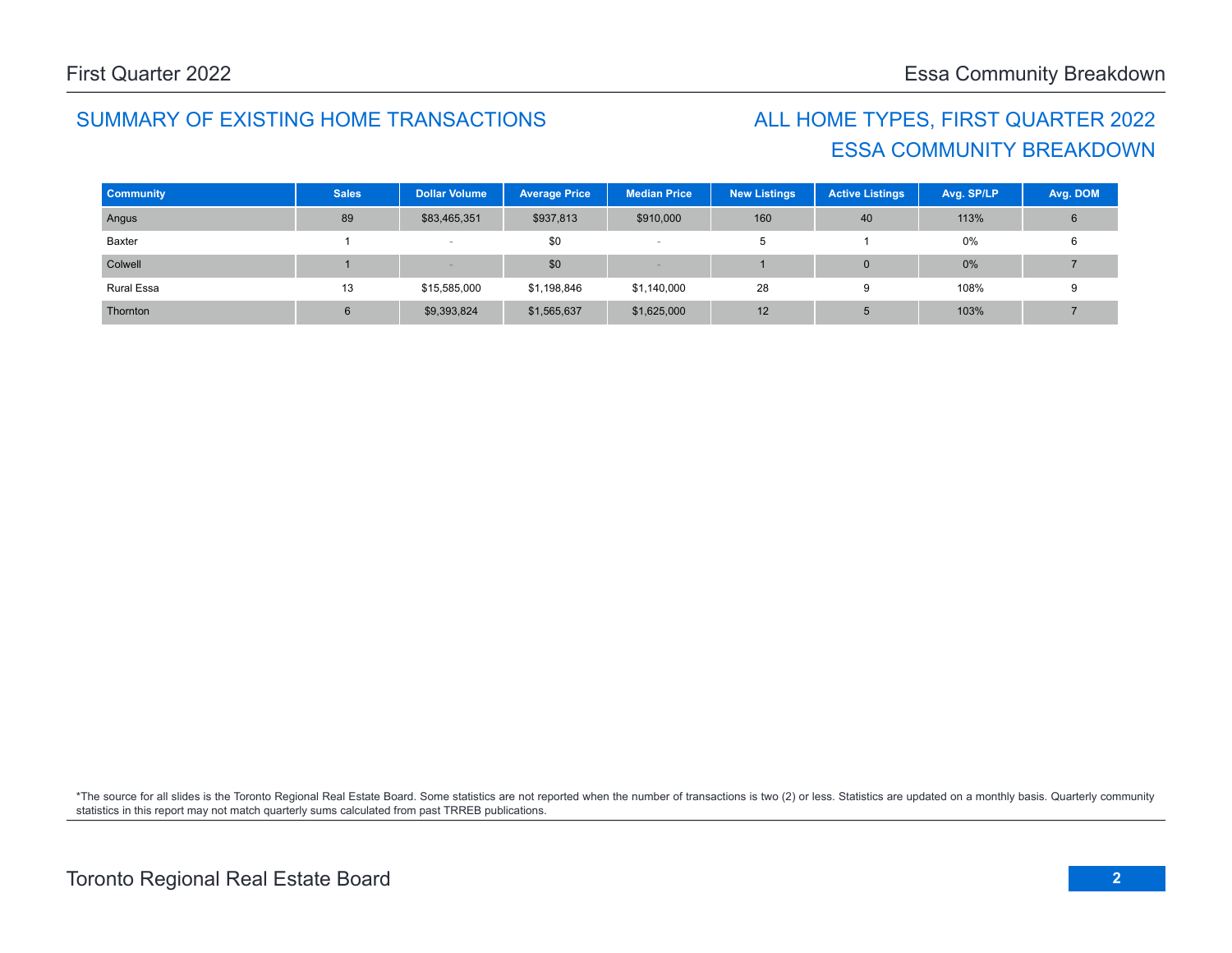## SUMMARY OF EXISTING HOME TRANSACTIONS ALL HOME TYPES, FIRST QUARTER 2022

## ESSA COMMUNITY BREAKDOWN

| <b>Community</b>  | <b>Sales</b> | <b>Dollar Volume</b> | <b>Average Price</b> | <b>Median Price</b> | <b>New Listings</b> | <b>Active Listings</b> | Avg. SP/LP | Avg. DOM |
|-------------------|--------------|----------------------|----------------------|---------------------|---------------------|------------------------|------------|----------|
| Angus             | 89           | \$83,465,351         | \$937,813            | \$910,000           | 160                 | 40                     | 113%       | 6        |
| Baxter            |              |                      | \$0                  |                     | э                   |                        | 0%         |          |
| Colwell           |              |                      | \$0                  |                     |                     |                        | 0%         |          |
| <b>Rural Essa</b> | 13           | \$15,585,000         | \$1,198,846          | \$1,140,000         | 28                  |                        | 108%       |          |
| Thornton          | 6            | \$9,393,824          | \$1,565,637          | \$1,625,000         | 12                  |                        | 103%       |          |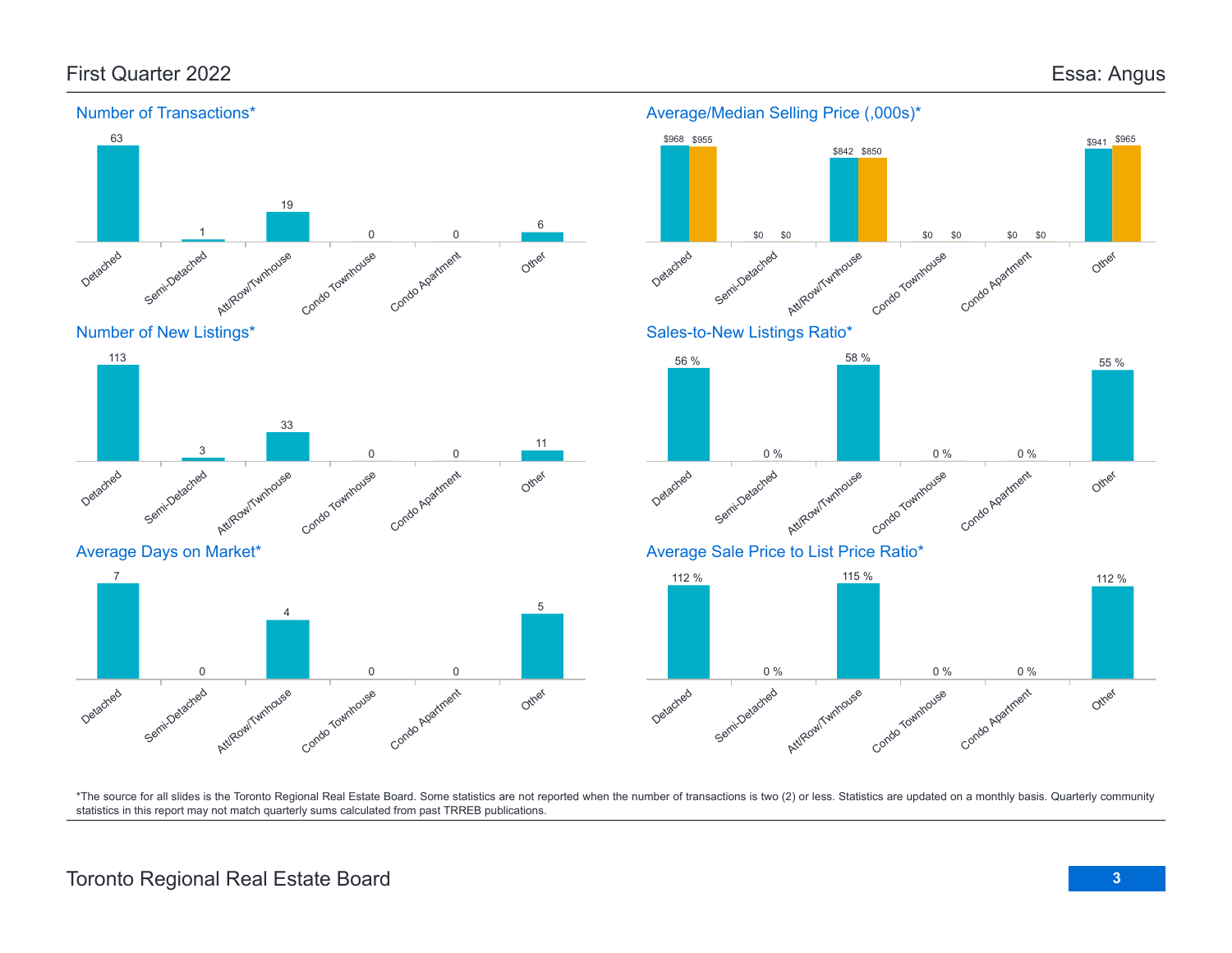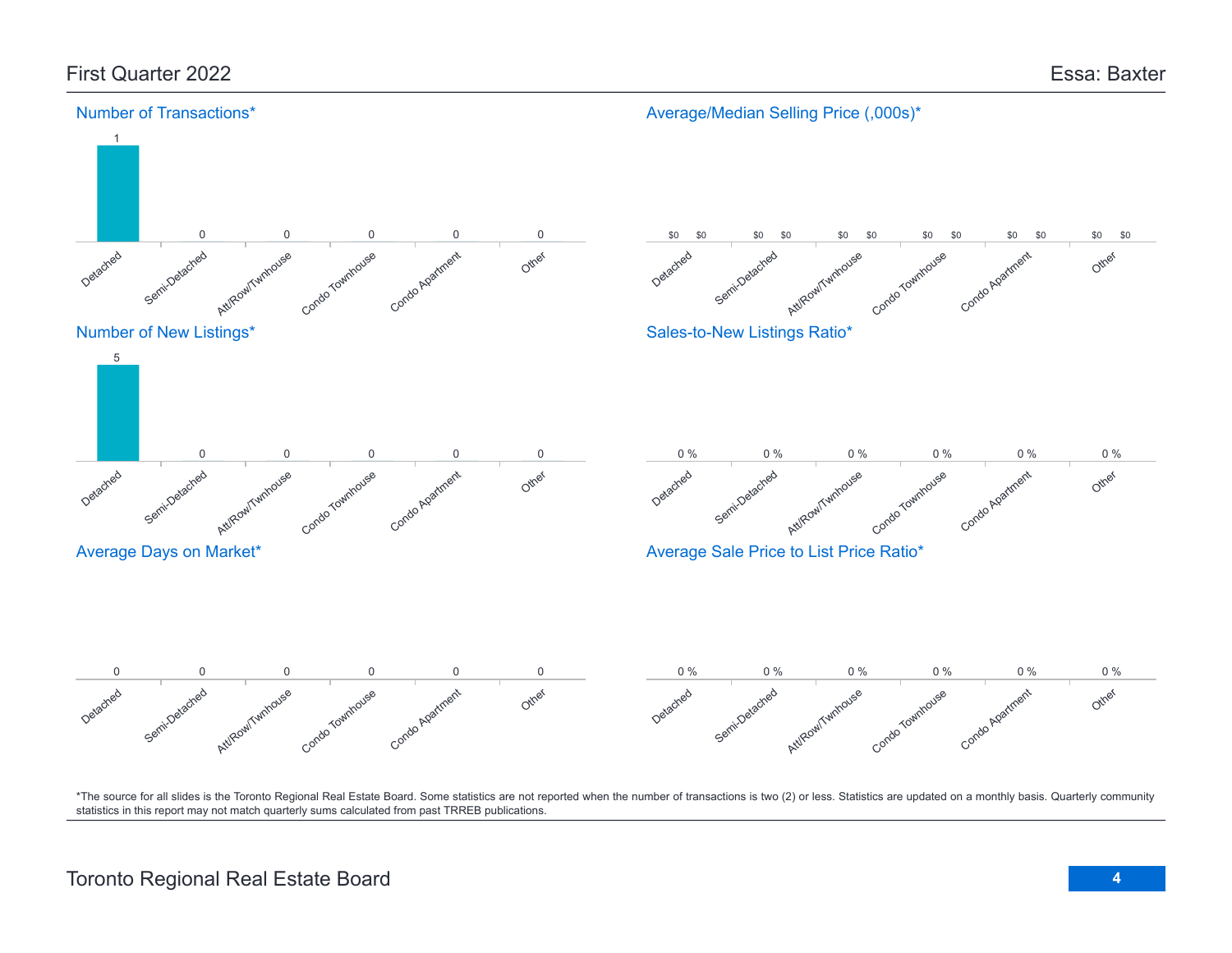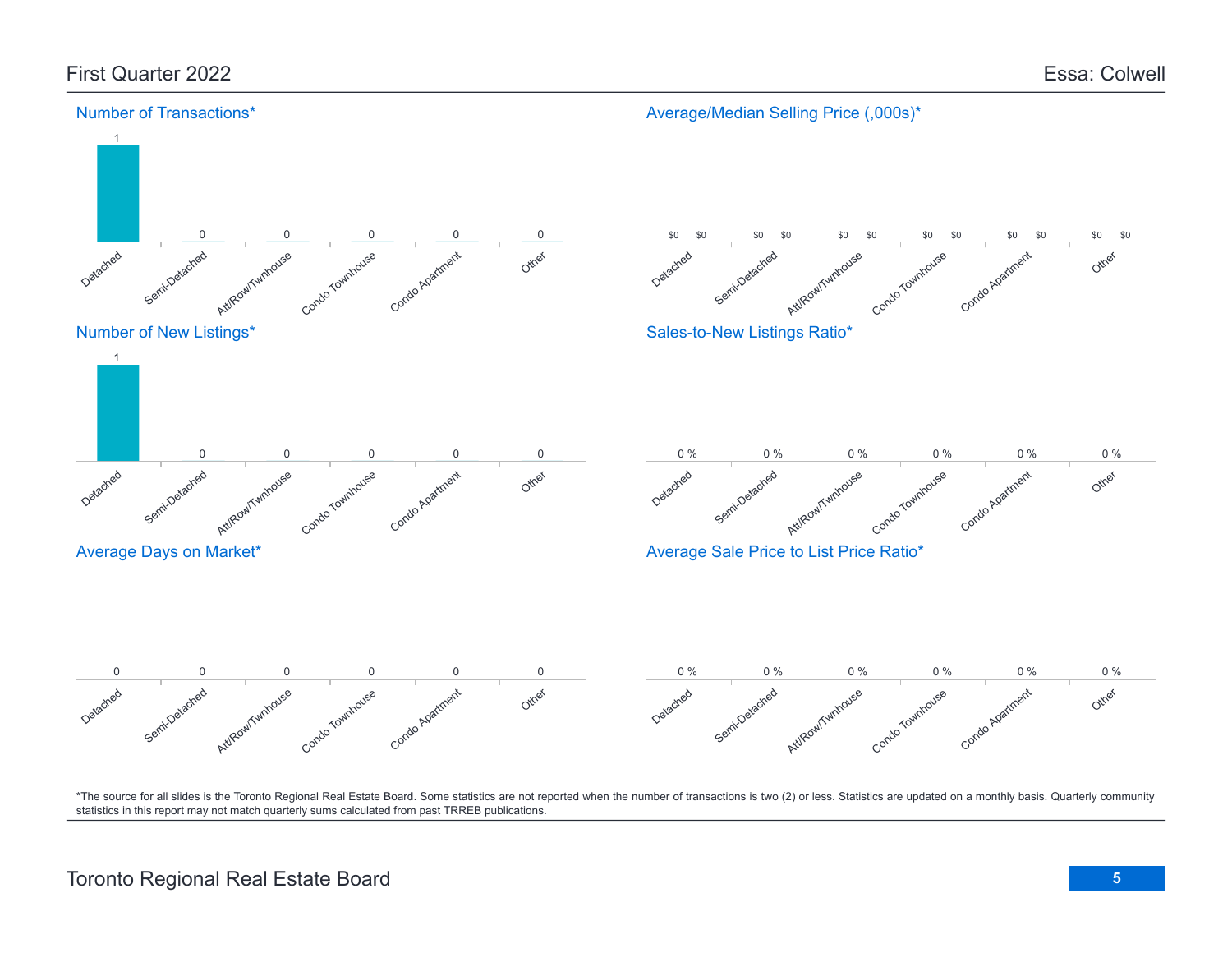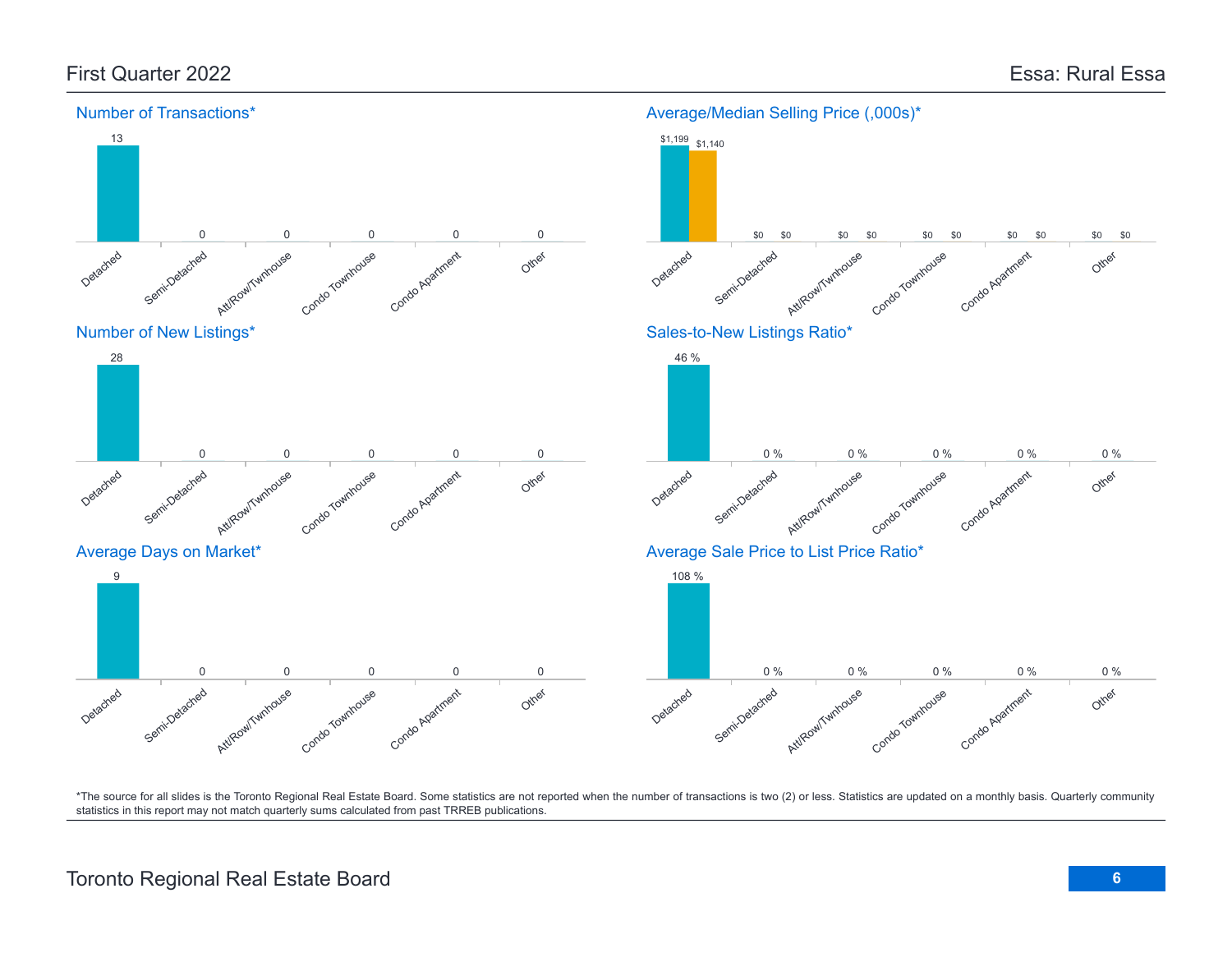